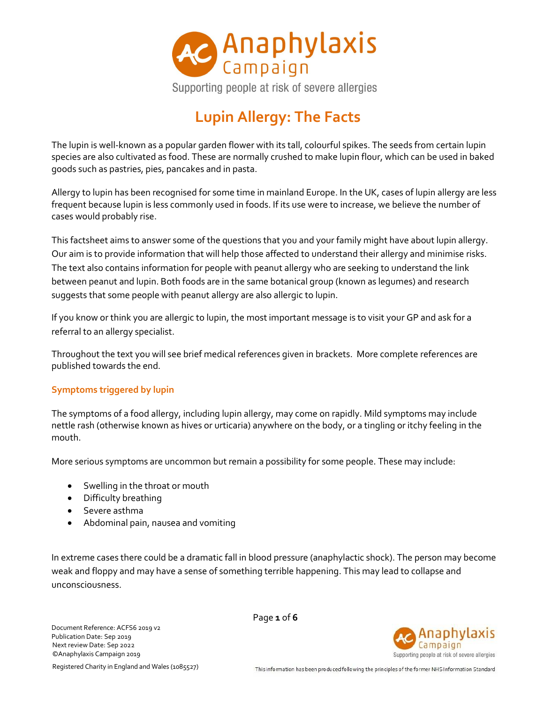

# **Lupin Allergy: The Facts**

The lupin is well-known as a popular garden flower with its tall, colourful spikes. The seeds from certain lupin species are also cultivated as food. These are normally crushed to make lupin flour, which can be used in baked goods such as pastries, pies, pancakes and in pasta.

Allergy to lupin has been recognised for some time in mainland Europe. In the UK, cases of lupin allergy are less frequent because lupin is less commonly used in foods. If its use were to increase, we believe the number of cases would probably rise.

This factsheet aims to answer some of the questions that you and your family might have about lupin allergy. Our aim is to provide information that will help those affected to understand their allergy and minimise risks. The text also contains information for people with peanut allergy who are seeking to understand the link between peanut and lupin. Both foods are in the same botanical group (known as legumes) and research suggests that some people with peanut allergy are also allergic to lupin.

If you know or think you are allergic to lupin, the most important message is to visit your GP and ask for a referral to an allergy specialist.

Throughout the text you will see brief medical references given in brackets. More complete references are published towards the end.

# **Symptoms triggered by lupin**

The symptoms of a food allergy, including lupin allergy, may come on rapidly. Mild symptoms may include nettle rash (otherwise known as hives or urticaria) anywhere on the body, or a tingling or itchy feeling in the mouth.

More serious symptoms are uncommon but remain a possibility for some people. These may include:

- Swelling in the throat or mouth
- Difficulty breathing
- Severe asthma
- Abdominal pain, nausea and vomiting

In extreme cases there could be a dramatic fall in blood pressure (anaphylactic shock). The person may become weak and floppy and may have a sense of something terrible happening. This may lead to collapse and unconsciousness.

Document Reference: ACFS6 2019 v2 Publication Date: Sep 2019 Next review Date: Sep 2022 ©Anaphylaxis Campaign 2019

Page **1** of **6**



Registered Charity in England and Wales (1085527)

This information has been produced following the principles of the former NHS Information Standard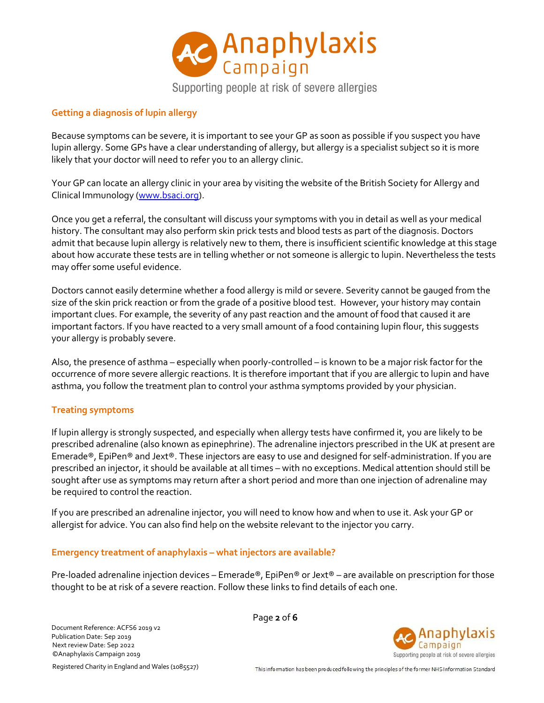

## **Getting a diagnosis of lupin allergy**

Because symptoms can be severe, it is important to see your GP as soon as possible if you suspect you have lupin allergy. Some GPs have a clear understanding of allergy, but allergy is a specialist subject so it is more likely that your doctor will need to refer you to an allergy clinic.

Your GP can locate an allergy clinic in your area by visiting the website of the British Society for Allergy and Clinical Immunology [\(www.bsaci.org\)](http://www.bsaci.org/).

Once you get a referral, the consultant will discuss your symptoms with you in detail as well as your medical history. The consultant may also perform skin prick tests and blood tests as part of the diagnosis. Doctors admit that because lupin allergy is relatively new to them, there is insufficient scientific knowledge at this stage about how accurate these tests are in telling whether or not someone is allergic to lupin. Nevertheless the tests may offer some useful evidence.

Doctors cannot easily determine whether a food allergy is mild or severe. Severity cannot be gauged from the size of the skin prick reaction or from the grade of a positive blood test. However, your history may contain important clues. For example, the severity of any past reaction and the amount of food that caused it are important factors. If you have reacted to a very small amount of a food containing lupin flour, this suggests your allergy is probably severe.

Also, the presence of asthma – especially when poorly-controlled – is known to be a major risk factor for the occurrence of more severe allergic reactions. It is therefore important that if you are allergic to lupin and have asthma, you follow the treatment plan to control your asthma symptoms provided by your physician.

## **Treating symptoms**

If lupin allergy is strongly suspected, and especially when allergy tests have confirmed it, you are likely to be prescribed adrenaline (also known as epinephrine). The adrenaline injectors prescribed in the UK at present are Emerade®, EpiPen® and Jext®. These injectors are easy to use and designed for self-administration. If you are prescribed an injector, it should be available at all times – with no exceptions. Medical attention should still be sought after use as symptoms may return after a short period and more than one injection of adrenaline may be required to control the reaction.

If you are prescribed an adrenaline injector, you will need to know how and when to use it. Ask your GP or allergist for advice. You can also find help on the website relevant to the injector you carry.

#### **Emergency treatment of anaphylaxis – what injectors are available?**

Pre-loaded adrenaline injection devices – Emerade®, EpiPen® or Jext® – are available on prescription for those thought to be at risk of a severe reaction. Follow these links to find details of each one.

Document Reference: ACFS6 2019 v2 Publication Date: Sep 2019 Next review Date: Sep 2022 ©Anaphylaxis Campaign 2019

Page **2** of **6**



Registered Charity in England and Wales (1085527)

This information has been produced following the principles of the former NHS Information Standard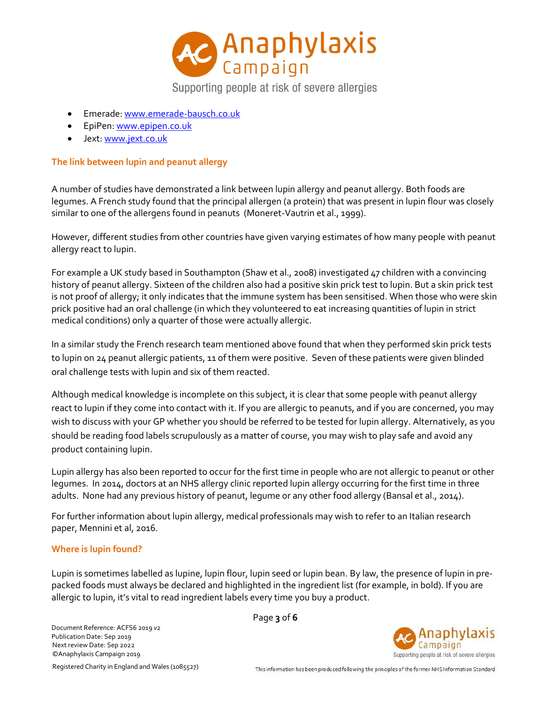

Supporting people at risk of severe allergies

- Emerade[: www.emerade-bausch.co.uk](http://www.emerade-bausch.co.uk/)
- EpiPen: [www.epipen.co.uk](http://www.epipen.co.uk/)
- Jext: [www.jext.co.uk](http://www.jext.co.uk/)

# **The link between lupin and peanut allergy**

A number of studies have demonstrated a link between lupin allergy and peanut allergy. Both foods are legumes. A French study found that the principal allergen (a protein) that was present in lupin flour was closely similar to one of the allergens found in peanuts (Moneret-Vautrin et al., 1999).

However, different studies from other countries have given varying estimates of how many people with peanut allergy react to lupin.

For example a UK study based in Southampton (Shaw et al., 2008) investigated 47 children with a convincing history of peanut allergy. Sixteen of the children also had a positive skin prick test to lupin. But a skin prick test is not proof of allergy; it only indicates that the immune system has been sensitised. When those who were skin prick positive had an oral challenge (in which they volunteered to eat increasing quantities of lupin in strict medical conditions) only a quarter of those were actually allergic.

In a similar study the French research team mentioned above found that when they performed skin prick tests to lupin on 24 peanut allergic patients, 11 of them were positive. Seven of these patients were given blinded oral challenge tests with lupin and six of them reacted.

Although medical knowledge is incomplete on this subject, it is clear that some people with peanut allergy react to lupin if they come into contact with it. If you are allergic to peanuts, and if you are concerned, you may wish to discuss with your GP whether you should be referred to be tested for lupin allergy. Alternatively, as you should be reading food labels scrupulously as a matter of course, you may wish to play safe and avoid any product containing lupin.

Lupin allergy has also been reported to occur for the first time in people who are not allergic to peanut or other legumes. In 2014, doctors at an NHS allergy clinic reported lupin allergy occurring for the first time in three adults. None had any previous history of peanut, legume or any other food allergy (Bansal et al., 2014).

For further information about lupin allergy, medical professionals may wish to refer to an Italian research paper, Mennini et al, 2016.

# **Where is lupin found?**

Lupin is sometimes labelled as lupine, lupin flour, lupin seed or lupin bean. By law, the presence of lupin in prepacked foods must always be declared and highlighted in the ingredient list (for example, in bold). If you are allergic to lupin, it's vital to read ingredient labels every time you buy a product.



Next review Date: Sep 2022 ©Anaphylaxis Campaign 2019 Registered Charity in England and Wales (1085527)

Document Reference: ACFS6 2019 v2 Publication Date: Sep 2019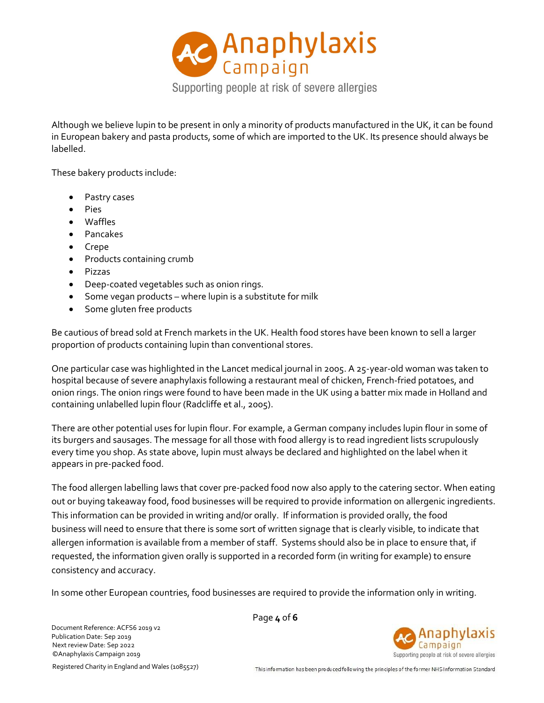

Although we believe lupin to be present in only a minority of products manufactured in the UK, it can be found in European bakery and pasta products, some of which are imported to the UK. Its presence should always be labelled.

These bakery products include:

- Pastry cases
- Pies
- Waffles
- Pancakes
- Crepe
- Products containing crumb
- Pizzas
- Deep-coated vegetables such as onion rings.
- Some vegan products where lupin is a substitute for milk
- Some gluten free products

Be cautious of bread sold at French markets in the UK. Health food stores have been known to sell a larger proportion of products containing lupin than conventional stores.

One particular case was highlighted in the Lancet medical journal in 2005. A 25-year-old woman was taken to hospital because of severe anaphylaxis following a restaurant meal of chicken, French-fried potatoes, and onion rings. The onion rings were found to have been made in the UK using a batter mix made in Holland and containing unlabelled lupin flour (Radcliffe et al., 2005).

There are other potential uses for lupin flour. For example, a German company includes lupin flour in some of its burgers and sausages. The message for all those with food allergy is to read ingredient lists scrupulously every time you shop. As state above, lupin must always be declared and highlighted on the label when it appears in pre-packed food.

The food allergen labelling laws that cover pre-packed food now also apply to the catering sector. When eating out or buying takeaway food, food businesses will be required to provide information on allergenic ingredients. This information can be provided in writing and/or orally. If information is provided orally, the food business will need to ensure that there is some sort of written signage that is clearly visible, to indicate that allergen information is available from a member of staff. Systems should also be in place to ensure that, if requested, the information given orally is supported in a recorded form (in writing for example) to ensure consistency and accuracy.

In some other European countries, food businesses are required to provide the information only in writing.

Document Reference: ACFS6 2019 v2 Publication Date: Sep 2019 Next review Date: Sep 2022 ©Anaphylaxis Campaign 2019

Page **4** of **6**



Registered Charity in England and Wales (1085527)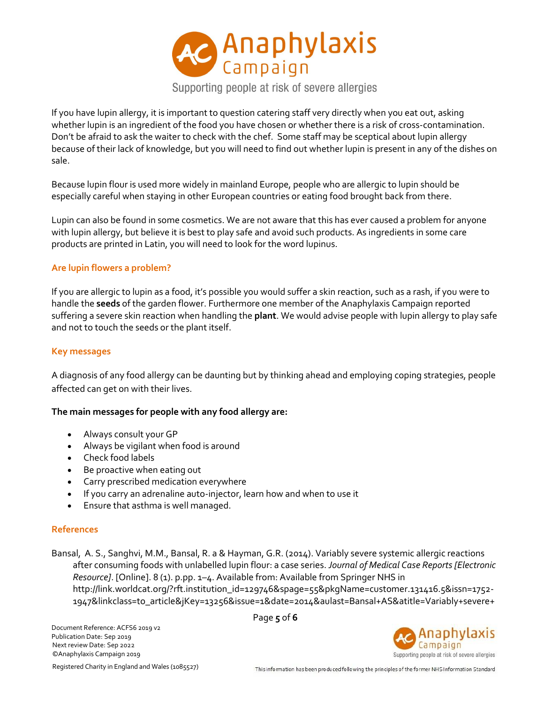

Supporting people at risk of severe allergies

If you have lupin allergy, it is important to question catering staff very directly when you eat out, asking whether lupin is an ingredient of the food you have chosen or whether there is a risk of cross-contamination. Don't be afraid to ask the waiter to check with the chef. Some staff may be sceptical about lupin allergy because of their lack of knowledge, but you will need to find out whether lupin is present in any of the dishes on sale.

Because lupin flour is used more widely in mainland Europe, people who are allergic to lupin should be especially careful when staying in other European countries or eating food brought back from there.

Lupin can also be found in some cosmetics. We are not aware that this has ever caused a problem for anyone with lupin allergy, but believe it is best to play safe and avoid such products. As ingredients in some care products are printed in Latin, you will need to look for the word lupinus.

## **Are lupin flowers a problem?**

If you are allergic to lupin as a food, it's possible you would suffer a skin reaction, such as a rash, if you were to handle the **seeds** of the garden flower. Furthermore one member of the Anaphylaxis Campaign reported suffering a severe skin reaction when handling the **plant**. We would advise people with lupin allergy to play safe and not to touch the seeds or the plant itself.

#### **Key messages**

A diagnosis of any food allergy can be daunting but by thinking ahead and employing coping strategies, people affected can get on with their lives.

#### **The main messages for people with any food allergy are:**

- Always consult your GP
- Always be vigilant when food is around
- Check food labels
- Be proactive when eating out
- Carry prescribed medication everywhere
- If you carry an adrenaline auto-injector, learn how and when to use it
- Ensure that asthma is well managed.

#### **References**

Bansal, A. S., Sanghvi, M.M., Bansal, R. a & Hayman, G.R. (2014). Variably severe systemic allergic reactions after consuming foods with unlabelled lupin flour: a case series. *Journal of Medical Case Reports [Electronic Resource]*. [Online]. 8 (1). p.pp. 1–4. Available from: Available from Springer NHS in http://link.worldcat.org/?rft.institution\_id=129746&spage=55&pkgName=customer.131416.5&issn=1752- 1947&linkclass=to\_article&jKey=13256&issue=1&date=2014&aulast=Bansal+AS&atitle=Variably+severe+

Page **5** of **6**



Next review Date: Sep 2022 ©Anaphylaxis Campaign 2019 Registered Charity in England and Wales (1085527)

Document Reference: ACFS6 2019 v2 Publication Date: Sep 2019